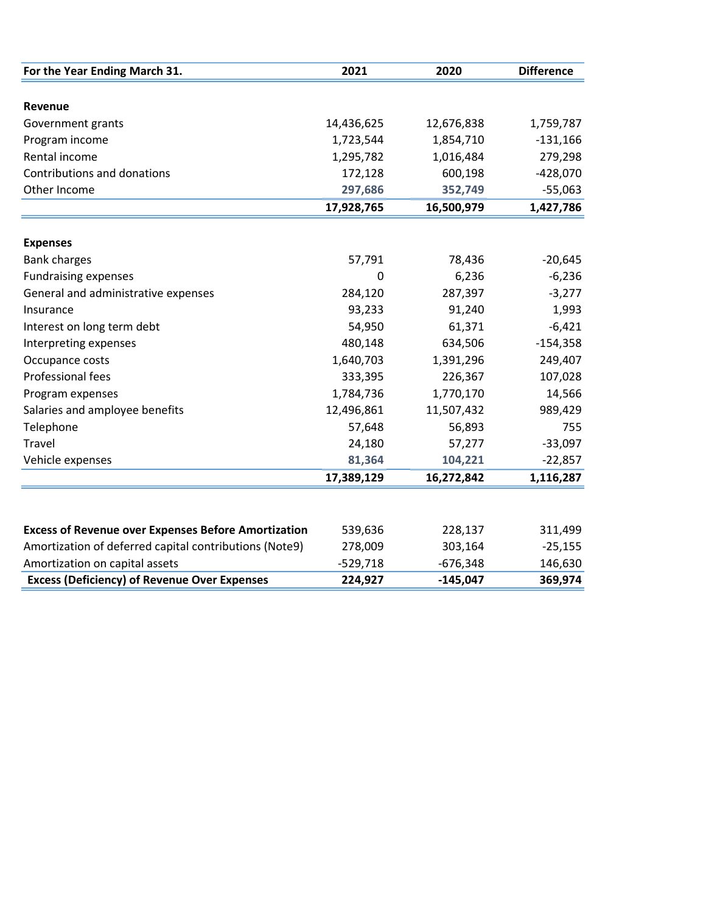| For the Year Ending March 31.                              | 2021       | 2020       | <b>Difference</b> |
|------------------------------------------------------------|------------|------------|-------------------|
|                                                            |            |            |                   |
| Revenue                                                    |            |            |                   |
| Government grants                                          | 14,436,625 | 12,676,838 | 1,759,787         |
| Program income                                             | 1,723,544  | 1,854,710  | $-131,166$        |
| Rental income                                              | 1,295,782  | 1,016,484  | 279,298           |
| Contributions and donations                                | 172,128    | 600,198    | $-428,070$        |
| Other Income                                               | 297,686    | 352,749    | $-55,063$         |
|                                                            | 17,928,765 | 16,500,979 | 1,427,786         |
|                                                            |            |            |                   |
| <b>Expenses</b>                                            |            |            |                   |
| <b>Bank charges</b>                                        | 57,791     | 78,436     | $-20,645$         |
| <b>Fundraising expenses</b>                                | 0          | 6,236      | $-6,236$          |
| General and administrative expenses                        | 284,120    | 287,397    | $-3,277$          |
| Insurance                                                  | 93,233     | 91,240     | 1,993             |
| Interest on long term debt                                 | 54,950     | 61,371     | $-6,421$          |
| Interpreting expenses                                      | 480,148    | 634,506    | $-154,358$        |
| Occupance costs                                            | 1,640,703  | 1,391,296  | 249,407           |
| Professional fees                                          | 333,395    | 226,367    | 107,028           |
| Program expenses                                           | 1,784,736  | 1,770,170  | 14,566            |
| Salaries and amployee benefits                             | 12,496,861 | 11,507,432 | 989,429           |
| Telephone                                                  | 57,648     | 56,893     | 755               |
| Travel                                                     | 24,180     | 57,277     | $-33,097$         |
| Vehicle expenses                                           | 81,364     | 104,221    | $-22,857$         |
|                                                            | 17,389,129 | 16,272,842 | 1,116,287         |
|                                                            |            |            |                   |
| <b>Excess of Revenue over Expenses Before Amortization</b> | 539,636    | 228,137    | 311,499           |
| Amortization of deferred capital contributions (Note9)     | 278,009    | 303,164    | $-25,155$         |
| Amortization on capital assets                             | $-529,718$ | $-676,348$ | 146,630           |
| <b>Excess (Deficiency) of Revenue Over Expenses</b>        | 224,927    | $-145,047$ | 369,974           |